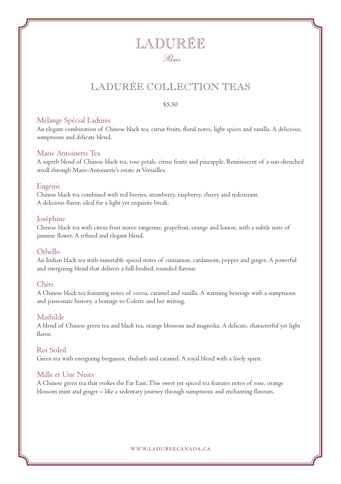## LADURÉE COLLECTION TEAS

#### \$5.50

#### Mélange Spécial Ladurée

An elegant combination of Chinese black tea, citrus fruits, floral notes, light spices and vanilla. A delicious, sumptuous and delicate blend.

#### Marie Antoinette Tea

A superb blend of Chinese black tea, rose petals, citrus fruits and pineapple. Reminiscent of a sun-drenched stroll through Marie-Antoinette's estate at Versailles.

#### Eugénie

Chinese black tea combined with red berries, strawberry, raspberry, cherry and redcurrant. A delicious flavor, ideal for a light yet exquisite break.

#### Joséphine

Chinese black tea with citrus fruit notes: tangerine, grapefruit, orange and lemon, with a subtle note of jasmine flower. A refined and elegant blend.

#### Othello

An Indian black tea with inimitable spiced notes of cinnamon, cardamom, pepper and ginger. A powerful and energizing blend that delivers a full-bodied, rounded flavour.

#### Chéri

A Chinese black tea featuring notes of cocoa, caramel and vanilla. A warming beverage with a sumptuous and passionate history, a homage to Colette and her writing.

#### Mathilde

A blend of Chinese green tea and black tea, orange blossom and magnolia. A delicate, characterful yet light flavor.

#### Roi Soleil

Green tea with energizing bergamot, rhubarb and caramel. A royal blend with a lively spirit.

#### Mille et Une Nuits

A Chinese green tea that evokes the Far East. This sweet yet spiced tea features notes of rose, orange blossom mint and ginger – like a sedentary journey through sumptuous and enchanting flavours.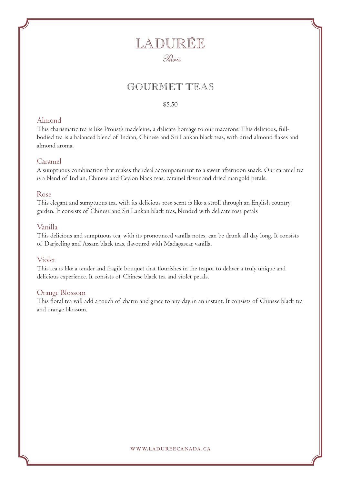## GOURMET TEAS

#### \$5.50

#### Almond

This charismatic tea is like Proust's madeleine, a delicate homage to our macarons. This delicious, fullbodied tea is a balanced blend of Indian, Chinese and Sri Lankan black teas, with dried almond flakes and almond aroma.

#### Caramel

A sumptuous combination that makes the ideal accompaniment to a sweet afternoon snack. Our caramel tea is a blend of Indian, Chinese and Ceylon black teas, caramel flavor and dried marigold petals.

#### Rose

This elegant and sumptuous tea, with its delicious rose scent is like a stroll through an English country garden. It consists of Chinese and Sri Lankan black teas, blended with delicate rose petals

#### Vanilla

This delicious and sumptuous tea, with its pronounced vanilla notes, can be drunk all day long. It consists of Darjeeling and Assam black teas, flavoured with Madagascar vanilla.

#### Violet

This tea is like a tender and fragile bouquet that flourishes in the teapot to deliver a truly unique and delicious experience. It consists of Chinese black tea and violet petals.

#### Orange Blossom

This floral tea will add a touch of charm and grace to any day in an instant. It consists of Chinese black tea and orange blossom.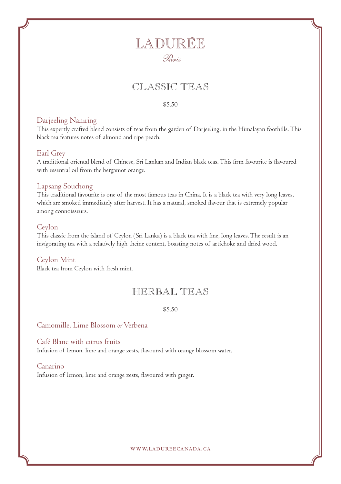## CLASSIC TEAS

#### \$5.50

#### Darjeeling Namring

This expertly crafted blend consists of teas from the garden of Darjeeling, in the Himalayan foothills. This black tea features notes of almond and ripe peach.

#### Earl Grey

A traditional oriental blend of Chinese, Sri Lankan and Indian black teas. This firm favourite is flavoured with essential oil from the bergamot orange.

#### Lapsang Souchong

This traditional favourite is one of the most famous teas in China. It is a black tea with very long leaves, which are smoked immediately after harvest. It has a natural, smoked flavour that is extremely popular among connoisseurs.

#### Ceylon

This classic from the island of Ceylon (Sri Lanka) is a black tea with fine, long leaves. The result is an invigorating tea with a relatively high theine content, boasting notes of artichoke and dried wood.

#### Ceylon Mint

Black tea from Ceylon with fresh mint.

### HERBAL TEAS

#### \$5.50

Camomille, Lime Blossom *or* Verbena

Café Blanc with citrus fruits Infusion of lemon, lime and orange zests, flavoured with orange blossom water.

#### Canarino

Infusion of lemon, lime and orange zests, flavoured with ginger.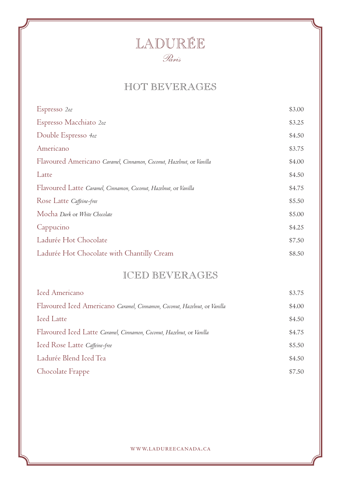## HOT BEVERAGES

| Espresso 2oz                                                         | \$3.00 |
|----------------------------------------------------------------------|--------|
| Espresso Macchiato 202                                               | \$3.25 |
| Double Espresso 4oz                                                  | \$4.50 |
| Americano                                                            | \$3.75 |
| Flavoured Americano Caramel, Cinnamon, Coconut, Hazelnut, or Vanilla | \$4.00 |
| Latte                                                                | \$4.50 |
| Flavoured Latte Caramel, Cinnamon, Coconut, Hazelnut, or Vanilla     | \$4.75 |
| Rose Latte Caffeine-free                                             | \$5.50 |
| Mocha Dark or White Chocolate                                        | \$5.00 |
| Cappucino                                                            | \$4.25 |
| Ladurée Hot Chocolate                                                | \$7.50 |
| Ladurée Hot Chocolate with Chantilly Cream                           | \$8.50 |

## ICED BEVERAGES

| Iced Americano                                                            | \$3.75 |
|---------------------------------------------------------------------------|--------|
| Flavoured Iced Americano Caramel, Cinnamon, Coconut, Hazelnut, or Vanilla | \$4.00 |
| Iced Latte                                                                | \$4.50 |
| Flavoured Iced Latte Caramel, Cinnamon, Coconut, Hazelnut, or Vanilla     | \$4.75 |
| Iced Rose Latte Caffeine-free                                             | \$5.50 |
| Ladurée Blend Iced Tea                                                    | \$4.50 |
| Chocolate Frappe                                                          | \$7.50 |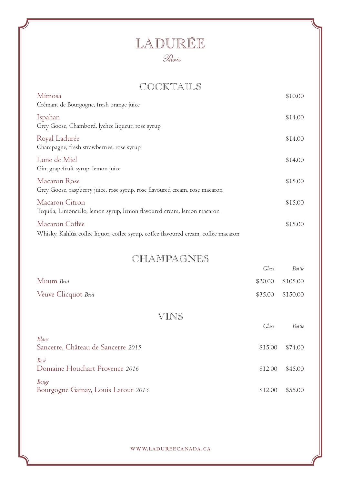## COCKTAILS

| Mimosa<br>Crémant de Bourgogne, fresh orange juice                                                   | \$10.00 |
|------------------------------------------------------------------------------------------------------|---------|
| Ispahan<br>Grey Goose, Chambord, lychee liqueur, rose syrup                                          | \$14.00 |
| Royal Ladurée<br>Champagne, fresh strawberries, rose syrup                                           | \$14.00 |
| Lune de Miel<br>Gin, grapefruit syrup, lemon juice                                                   | \$14.00 |
| Macaron Rose<br>Grey Goose, raspberry juice, rose syrup, rose flavoured cream, rose macaron          | \$15.00 |
| Macaron Citron<br>Tequila, Limoncello, lemon syrup, lemon flavoured cream, lemon macaron             | \$15.00 |
| Macaron Coffee<br>Whisky, Kahlúa coffee liquor, coffee syrup, coffee flavoured cream, coffee macaron | \$15.00 |

### CHAMPAGNES

|                                             | Glass   | Bottle   |
|---------------------------------------------|---------|----------|
| Muum Brut                                   | \$20.00 | \$105.00 |
| Veuve Clicquot Brut                         | \$35.00 | \$150.00 |
| VINS                                        |         |          |
|                                             | Glass   | Bottle   |
| Blanc<br>Sancerre, Château de Sancerre 2015 | \$15.00 | \$74.00  |
| Rosé<br>Domaine Houchart Provence 2016      | \$12.00 | \$45.00  |
| Rouge<br>Bourgogne Gamay, Louis Latour 2013 | \$12.00 | \$55.00  |